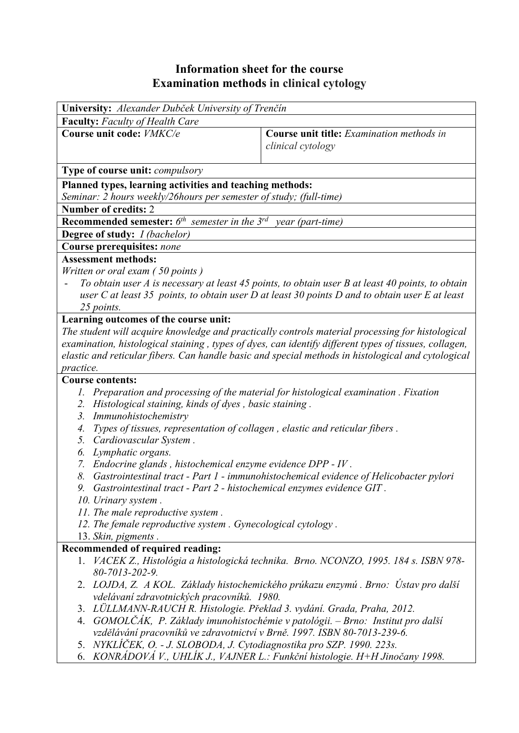## **Information sheet for the course Examination methods in clinical cytology**

| University: Alexander Dubček University of Trenčín                                                                                   |                                                                                                                                                 |  |  |  |  |  |  |
|--------------------------------------------------------------------------------------------------------------------------------------|-------------------------------------------------------------------------------------------------------------------------------------------------|--|--|--|--|--|--|
| Faculty: Faculty of Health Care                                                                                                      |                                                                                                                                                 |  |  |  |  |  |  |
| Course unit code: VMKC/e                                                                                                             | <b>Course unit title:</b> Examination methods in                                                                                                |  |  |  |  |  |  |
|                                                                                                                                      | clinical cytology                                                                                                                               |  |  |  |  |  |  |
| Type of course unit: <i>compulsory</i>                                                                                               |                                                                                                                                                 |  |  |  |  |  |  |
| Planned types, learning activities and teaching methods:                                                                             |                                                                                                                                                 |  |  |  |  |  |  |
| Seminar: 2 hours weekly/26 hours per semester of study; (full-time)                                                                  |                                                                                                                                                 |  |  |  |  |  |  |
| <b>Number of credits: 2</b>                                                                                                          |                                                                                                                                                 |  |  |  |  |  |  |
| <b>Recommended semester:</b> $6^{th}$ semester in the $3^{rd}$<br>year (part-time)                                                   |                                                                                                                                                 |  |  |  |  |  |  |
| <b>Degree of study:</b> <i>I (bachelor)</i>                                                                                          |                                                                                                                                                 |  |  |  |  |  |  |
| <b>Course prerequisites: none</b>                                                                                                    |                                                                                                                                                 |  |  |  |  |  |  |
| <b>Assessment methods:</b>                                                                                                           |                                                                                                                                                 |  |  |  |  |  |  |
| Written or oral exam (50 points)<br>To obtain user A is necessary at least 45 points, to obtain user B at least 40 points, to obtain |                                                                                                                                                 |  |  |  |  |  |  |
|                                                                                                                                      |                                                                                                                                                 |  |  |  |  |  |  |
| user C at least 35 points, to obtain user D at least 30 points D and to obtain user E at least<br>25 points.                         |                                                                                                                                                 |  |  |  |  |  |  |
| Learning outcomes of the course unit:                                                                                                |                                                                                                                                                 |  |  |  |  |  |  |
|                                                                                                                                      | The student will acquire knowledge and practically controls material processing for histological                                                |  |  |  |  |  |  |
|                                                                                                                                      | examination, histological staining, types of dyes, can identify different types of tissues, collagen,                                           |  |  |  |  |  |  |
|                                                                                                                                      | elastic and reticular fibers. Can handle basic and special methods in histological and cytological                                              |  |  |  |  |  |  |
| practice.                                                                                                                            |                                                                                                                                                 |  |  |  |  |  |  |
| <b>Course contents:</b>                                                                                                              |                                                                                                                                                 |  |  |  |  |  |  |
| 1.                                                                                                                                   | Preparation and processing of the material for histological examination . Fixation                                                              |  |  |  |  |  |  |
| 2.                                                                                                                                   | Histological staining, kinds of dyes, basic staining.                                                                                           |  |  |  |  |  |  |
| Immunohistochemistry<br>3.                                                                                                           |                                                                                                                                                 |  |  |  |  |  |  |
| 4.                                                                                                                                   | Types of tissues, representation of collagen, elastic and reticular fibers.                                                                     |  |  |  |  |  |  |
| Cardiovascular System.<br>5.                                                                                                         |                                                                                                                                                 |  |  |  |  |  |  |
| Lymphatic organs.<br>6.                                                                                                              |                                                                                                                                                 |  |  |  |  |  |  |
|                                                                                                                                      | Endocrine glands, histochemical enzyme evidence DPP - IV.<br>7.                                                                                 |  |  |  |  |  |  |
| 8.                                                                                                                                   | Gastrointestinal tract - Part 1 - immunohistochemical evidence of Helicobacter pylori                                                           |  |  |  |  |  |  |
| 9. Gastrointestinal tract - Part 2 - histochemical enzymes evidence GIT.                                                             |                                                                                                                                                 |  |  |  |  |  |  |
| 10. Urinary system.<br>11. The male reproductive system.                                                                             |                                                                                                                                                 |  |  |  |  |  |  |
| 12. The female reproductive system. Gynecological cytology.                                                                          |                                                                                                                                                 |  |  |  |  |  |  |
| 13. Skin, pigments.                                                                                                                  |                                                                                                                                                 |  |  |  |  |  |  |
| Recommended of required reading:                                                                                                     |                                                                                                                                                 |  |  |  |  |  |  |
| 1.                                                                                                                                   | VACEK Z., Histológia a histologická technika. Brno. NCONZO, 1995. 184 s. ISBN 978-                                                              |  |  |  |  |  |  |
| 80-7013-202-9.                                                                                                                       |                                                                                                                                                 |  |  |  |  |  |  |
|                                                                                                                                      | 2. LOJDA, Z. A KOL. Základy histochemického prúkazu enzymú. Brno: Ústav pro další                                                               |  |  |  |  |  |  |
| vdelávaní zdravotnických pracovníků. 1980.                                                                                           |                                                                                                                                                 |  |  |  |  |  |  |
| 3.                                                                                                                                   | LÜLLMANN-RAUCH R. Histologie. Překlad 3. vydání. Grada, Praha, 2012.                                                                            |  |  |  |  |  |  |
| 4.                                                                                                                                   | GOMOLČÁK, P. Základy imunohistochémie v patológii. – Brno: Institut pro další                                                                   |  |  |  |  |  |  |
|                                                                                                                                      | vzdělávání pracovníků ve zdravotnictví v Brně. 1997. ISBN 80-7013-239-6.                                                                        |  |  |  |  |  |  |
| 5.                                                                                                                                   | NYKLÍČEK, O. - J. SLOBODA, J. Cytodiagnostika pro SZP. 1990. 223s.<br>KONRÁDOVÁ V., UHLÍK J., VAJNER L.: Funkční histologie. H+H Jinočany 1998. |  |  |  |  |  |  |
| 6.                                                                                                                                   |                                                                                                                                                 |  |  |  |  |  |  |